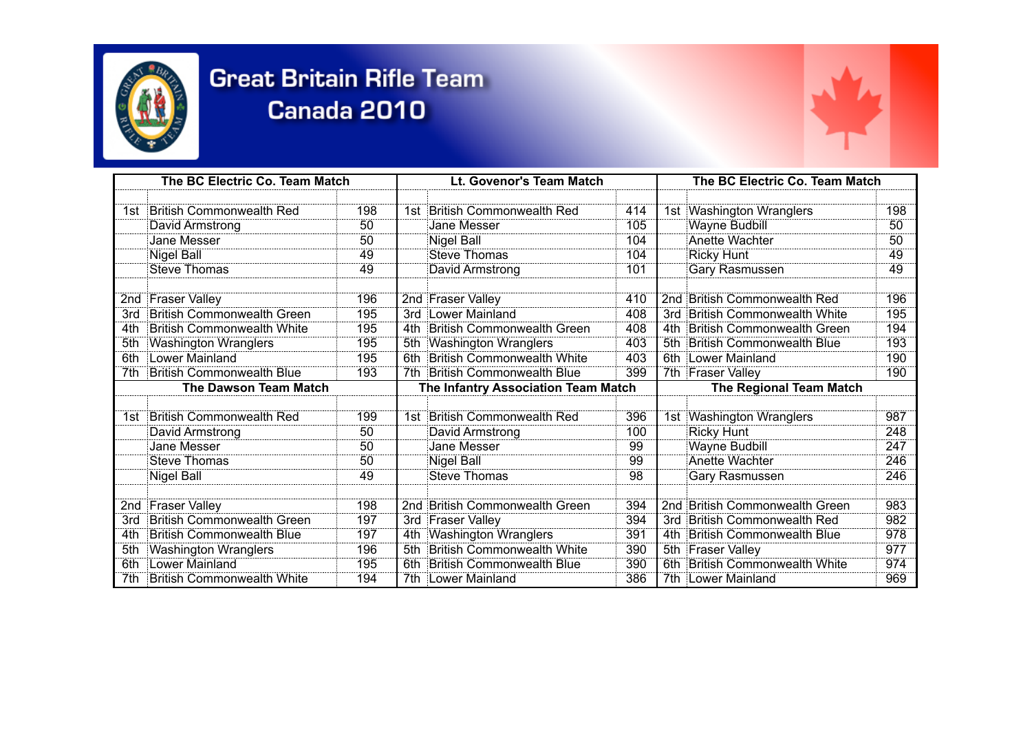

## **Great Britain Rifle Team** Canada 2010

| The BC Electric Co. Team Match |                                   |     |                                     | Lt. Govenor's Team Match          |     |                                | The BC Electric Co. Team Match    |     |  |
|--------------------------------|-----------------------------------|-----|-------------------------------------|-----------------------------------|-----|--------------------------------|-----------------------------------|-----|--|
|                                |                                   |     |                                     |                                   |     |                                |                                   |     |  |
|                                | 1st British Commonwealth Red      | 198 |                                     | 1st British Commonwealth Red      | 414 |                                | 1st Washington Wranglers          | 198 |  |
|                                | David Armstrong                   | 50  |                                     | Jane Messer                       | 105 |                                | <b>Wayne Budbill</b>              | 50  |  |
|                                | Jane Messer                       | 50  |                                     | Nigel Ball                        | 104 |                                | Anette Wachter                    | 50  |  |
|                                | Nigel Ball                        | 49  |                                     | Steve Thomas                      | 104 |                                | <b>Ricky Hunt</b>                 | 49  |  |
|                                | Steve Thomas                      | 49  |                                     | David Armstrong                   | 101 |                                | Gary Rasmussen                    | 49  |  |
|                                | 2nd Fraser Valley                 | 196 |                                     | 2nd Fraser Valley                 | 410 |                                | 2nd British Commonwealth Red      | 196 |  |
| 3rd                            | <b>British Commonwealth Green</b> | 195 | 3rd                                 | Lower Mainland                    | 408 | 3rd                            | British Commonwealth White        | 195 |  |
| 4th                            | <b>British Commonwealth White</b> | 195 | 4th                                 | British Commonwealth Green        | 408 | 4th                            | British Commonwealth Green        | 194 |  |
| 5th                            | Washington Wranglers              | 195 | 5th                                 | Washington Wranglers              | 403 | 5th                            | British Commonwealth Blue         | 193 |  |
| 6th                            | Lower Mainland                    | 195 | 6th                                 | <b>British Commonwealth White</b> | 403 |                                | 6th Lower Mainland                | 190 |  |
| 7th.                           | British Commonwealth Blue         | 193 | 7th                                 | British Commonwealth Blue         | 399 |                                | 7th Fraser Valley                 | 190 |  |
| <b>The Dawson Team Match</b>   |                                   |     | The Infantry Association Team Match |                                   |     | <b>The Regional Team Match</b> |                                   |     |  |
|                                |                                   |     |                                     |                                   |     |                                |                                   |     |  |
| 1st.                           | British Commonwealth Red          | 199 |                                     | 1st British Commonwealth Red      | 396 |                                | 1st Washington Wranglers          | 987 |  |
|                                | David Armstrong                   | 50  |                                     | David Armstrong                   | 100 |                                | <b>Ricky Hunt</b>                 | 248 |  |
|                                | Jane Messer                       | 50  |                                     | Jane Messer                       | 99  |                                | <b>Wayne Budbill</b>              | 247 |  |
|                                | Steve Thomas                      | 50  |                                     | Nigel Ball                        | 99  |                                | Anette Wachter                    | 246 |  |
|                                | <b>Nigel Ball</b>                 | 49  |                                     | <b>Steve Thomas</b>               | 98  |                                | Gary Rasmussen                    | 246 |  |
|                                |                                   |     |                                     |                                   |     |                                |                                   |     |  |
|                                | 2nd Fraser Valley                 | 198 |                                     | 2nd British Commonwealth Green    | 394 |                                | 2nd British Commonwealth Green    | 983 |  |
| 3rd                            | British Commonwealth Green        | 197 |                                     | 3rd Fraser Valley                 | 394 | 3rd                            | <b>British Commonwealth Red</b>   | 982 |  |
| 4th.                           | <b>British Commonwealth Blue</b>  | 197 | 4th                                 | Washington Wranglers              | 391 | 4th                            | British Commonwealth Blue         | 978 |  |
| 5th                            | Washington Wranglers              | 196 | 5th                                 | British Commonwealth White        | 390 |                                | 5th Fraser Valley                 | 977 |  |
| 6th                            | Lower Mainland                    | 195 | 6th                                 | British Commonwealth Blue         | 390 | 6th                            | <b>British Commonwealth White</b> | 974 |  |
| 7th                            | <b>British Commonwealth White</b> | 194 | 7th                                 | Lower Mainland                    | 386 |                                | 7th Lower Mainland                | 969 |  |